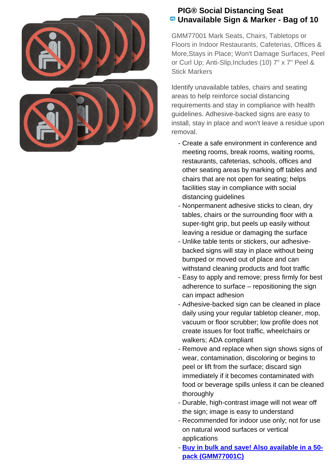

## **PIG® Social Distancing Seat Unavailable Sign & Marker - Bag of 10**

GMM77001 Mark Seats, Chairs, Tabletops or Floors in Indoor Restaurants, Cafeterias, Offices & More,Stays in Place; Won't Damage Surfaces, Peel or Curl Up; Anti-Slip,Includes (10) 7" x 7" Peel & Stick Markers

Identify unavailable tables, chairs and seating areas to help reinforce social distancing requirements and stay in compliance with health guidelines. Adhesive-backed signs are easy to install, stay in place and won't leave a residue upon removal.

- Create a safe environment in conference and meeting rooms, break rooms, waiting rooms, restaurants, cafeterias, schools, offices and other seating areas by marking off tables and chairs that are not open for seating; helps facilities stay in compliance with social distancing guidelines
- Nonpermanent adhesive sticks to clean, dry tables, chairs or the surrounding floor with a super-tight grip, but peels up easily without leaving a residue or damaging the surface
- Unlike table tents or stickers, our adhesive- backed signs will stay in place without being bumped or moved out of place and can withstand cleaning products and foot traffic
- Easy to apply and remove; press firmly for best adherence to surface – repositioning the sign can impact adhesion
- Adhesive-backed sign can be cleaned in place daily using your regular tabletop cleaner, mop, vacuum or floor scrubber; low profile does not create issues for foot traffic, wheelchairs or walkers; ADA compliant
- Remove and replace when sign shows signs of wear, contamination, discoloring or begins to peel or lift from the surface; discard sign immediately if it becomes contaminated with food or beverage spills unless it can be cleaned thoroughly
- Durable, high-contrast image will not wear off the sign; image is easy to understand
- Recommended for indoor use only; not for use on natural wood surfaces or vertical applications
- **Buy in bulk and save! Also available in a 50pack (GMM77001C)**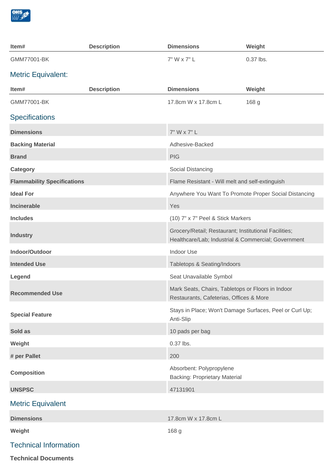

| Item#                              | <b>Description</b> | <b>Dimensions</b>                                                                                            | Weight    |
|------------------------------------|--------------------|--------------------------------------------------------------------------------------------------------------|-----------|
| GMM77001-BK                        |                    | 7" W x 7" L                                                                                                  | 0.37 lbs. |
| <b>Metric Equivalent:</b>          |                    |                                                                                                              |           |
| Item#                              | <b>Description</b> | <b>Dimensions</b>                                                                                            | Weight    |
| GMM77001-BK                        |                    | 17.8cm W x 17.8cm L                                                                                          | 168 g     |
| <b>Specifications</b>              |                    |                                                                                                              |           |
| <b>Dimensions</b>                  |                    | 7" W x 7" L                                                                                                  |           |
| <b>Backing Material</b>            |                    | Adhesive-Backed                                                                                              |           |
| <b>Brand</b>                       |                    | <b>PIG</b>                                                                                                   |           |
| <b>Category</b>                    |                    | Social Distancing                                                                                            |           |
| <b>Flammability Specifications</b> |                    | Flame Resistant - Will melt and self-extinguish                                                              |           |
| <b>Ideal For</b>                   |                    | Anywhere You Want To Promote Proper Social Distancing                                                        |           |
| <b>Incinerable</b>                 |                    | Yes                                                                                                          |           |
| <b>Includes</b>                    |                    | (10) 7" x 7" Peel & Stick Markers                                                                            |           |
| <b>Industry</b>                    |                    | Grocery/Retail; Restaurant; Institutional Facilities;<br>Healthcare/Lab; Industrial & Commercial; Government |           |
| Indoor/Outdoor                     |                    | Indoor Use                                                                                                   |           |
| <b>Intended Use</b>                |                    | Tabletops & Seating/Indoors                                                                                  |           |
| Legend                             |                    | Seat Unavailable Symbol                                                                                      |           |
| <b>Recommended Use</b>             |                    | Mark Seats, Chairs, Tabletops or Floors in Indoor<br>Restaurants, Cafeterias, Offices & More                 |           |
| <b>Special Feature</b>             |                    | Stays in Place; Won't Damage Surfaces, Peel or Curl Up;<br>Anti-Slip                                         |           |
| Sold as                            |                    | 10 pads per bag                                                                                              |           |
| Weight                             |                    | 0.37 lbs.                                                                                                    |           |
| # per Pallet                       |                    | 200                                                                                                          |           |
| <b>Composition</b>                 |                    | Absorbent: Polypropylene<br><b>Backing: Proprietary Material</b>                                             |           |
| <b>UNSPSC</b>                      |                    | 47131901                                                                                                     |           |
| <b>Metric Equivalent</b>           |                    |                                                                                                              |           |
| <b>Dimensions</b>                  |                    | 17.8cm W x 17.8cm L                                                                                          |           |
| Weight                             |                    | 168 g                                                                                                        |           |
| <b>Technical Information</b>       |                    |                                                                                                              |           |
|                                    |                    |                                                                                                              |           |

**Technical Documents**